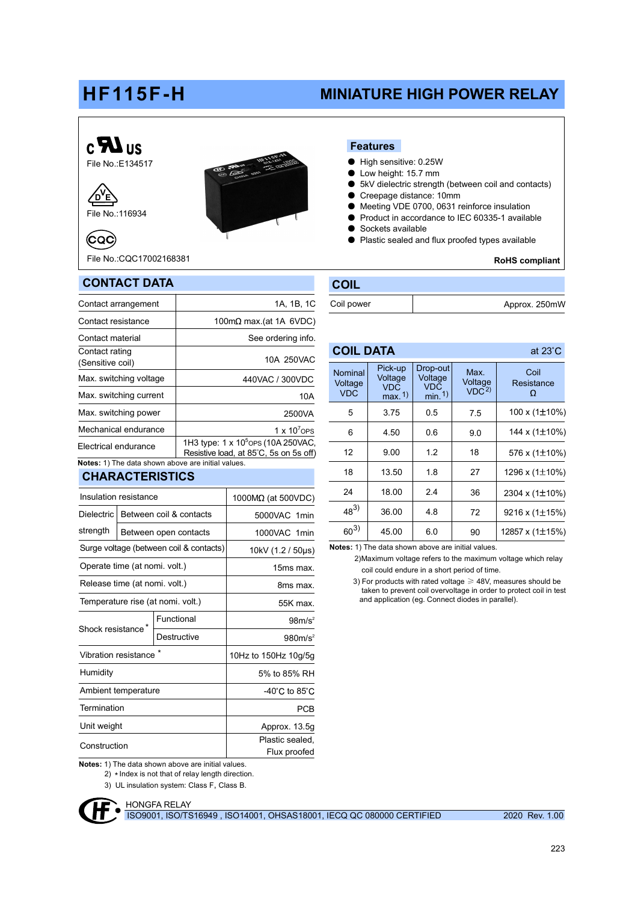# HF115F-H

# MINIATURE HIGH POWER RELAY





(CQC)

File No.:CQC17002168381

CONTACT DATA



#### Features

- High sensitive: 0.25W
- Low height: 15.7 mm
- 5kV dielectric strength (between coil and contacts)
- Creepage distance: 10mm
- Meeting VDE 0700, 0631 reinforce insulation
- Product in accordance to IEC 60335-1 available
- Sockets available

Coil power

COIL DATA

**COIL** 

● Plastic sealed and flux proofed types available

RoHS compliant

Approx. 250mW

at 23°C

| 998149812A1A                                      |                                                                                           |
|---------------------------------------------------|-------------------------------------------------------------------------------------------|
| Contact arrangement                               | 1A, 1B, 1C                                                                                |
| Contact resistance                                | 100m $\Omega$ max (at 1A 6VDC)                                                            |
| Contact material                                  | See ordering info.                                                                        |
| Contact rating<br>(Sensitive coil)                | 10A 250VAC                                                                                |
| Max. switching voltage                            | 440VAC / 300VDC                                                                           |
| Max. switching current                            | 10A                                                                                       |
| Max. switching power                              | 2500VA                                                                                    |
| Mechanical endurance                              | 1 x $10^{7}$ OPS                                                                          |
| Electrical endurance                              | 1H3 type: 1 x 10 <sup>5</sup> OPS (10A 250 VAC,<br>Resistive load, at 85°C, 5s on 5s off) |
| Notan: 1) The data aboun abous are initial values |                                                                                           |

#### Notes: 1) The data shown above are initial values.

# CHARACTERISTICS

| Insulation resistance                   |  |                                    | $1000M\Omega$ (at 500VDC) |  |  |  |  |
|-----------------------------------------|--|------------------------------------|---------------------------|--|--|--|--|
| <b>Dielectric</b>                       |  | Between coil & contacts            | 5000VAC 1min              |  |  |  |  |
| strength                                |  | Between open contacts              | 1000VAC 1min              |  |  |  |  |
| Surge voltage (between coil & contacts) |  |                                    | 10kV (1.2 / 50µs)         |  |  |  |  |
| Operate time (at nomi. volt.)           |  |                                    | 15ms max.                 |  |  |  |  |
| Release time (at nomi. volt.)           |  |                                    | 8ms max.                  |  |  |  |  |
| Temperature rise (at nomi. volt.)       |  |                                    | 55K max                   |  |  |  |  |
| Shock resistance*                       |  | Functional                         | 98m/s <sup>2</sup>        |  |  |  |  |
|                                         |  | Destructive                        | 980m/s <sup>2</sup>       |  |  |  |  |
| Vibration resistance                    |  | 10Hz to 150Hz 10g/5g               |                           |  |  |  |  |
| Humidity                                |  | 5% to 85% RH                       |                           |  |  |  |  |
| Ambient temperature                     |  | $-40^{\circ}$ C to 85 $^{\circ}$ C |                           |  |  |  |  |
| Termination                             |  | PCB                                |                           |  |  |  |  |
| Unit weight                             |  | Approx. 13.5g                      |                           |  |  |  |  |
| Construction                            |  | Plastic sealed,<br>Flux proofed    |                           |  |  |  |  |

Notes: 1) The data shown above are initial values.

 $2)$   $*$  Index is not that of relay length direction.

3) UL insulation system: Class F, Class B.



ISO9001, ISO/TS16949 , ISO14001, OHSAS18001, IECQ QC 080000 CERTIFIED 2020 Rev. 1.00

| <b>Nominal</b><br>Voltage<br><b>VDC</b> | Pick-up<br>Voltage<br><b>VDC</b><br>max. 1) | Drop-out<br>Voltage<br><b>VDC</b><br>min.1 | Max.<br>Voltage<br>VDC <sup>2</sup> | Coil<br>Resistance<br>Ω |
|-----------------------------------------|---------------------------------------------|--------------------------------------------|-------------------------------------|-------------------------|
| 5                                       | 3.75                                        | 0.5                                        | 7.5                                 | 100 x $(1\pm10\%)$      |
| 6                                       | 4.50                                        | 0.6                                        | 9.0                                 | 144 x (1±10%)           |
| 12                                      | 9.00                                        | 1.2                                        | 18                                  | 576 x (1±10%)           |
| 18                                      | 13.50                                       | 1.8                                        | 27                                  | 1296 x (1±10%)          |
| 24                                      | 18.00                                       | 24                                         | 36                                  | 2304 x (1±10%)          |
| $48^{3}$                                | 36.00                                       | 4.8                                        | 72                                  | 9216 x (1 $\pm$ 15%)    |
| $60^{3}$                                | 45.00                                       | 6.0                                        | 90                                  | 12857 x (1±15%)         |

Notes: 1) The data shown above are initial values.

 2)Maximum voltage refers to the maximum voltage which relay coil could endure in a short period of time.

 3) For products with rated voltage ≥ 48V, measures should be taken to prevent coil overvoltage in order to protect coil in test and application (eg. Connect diodes in parallel).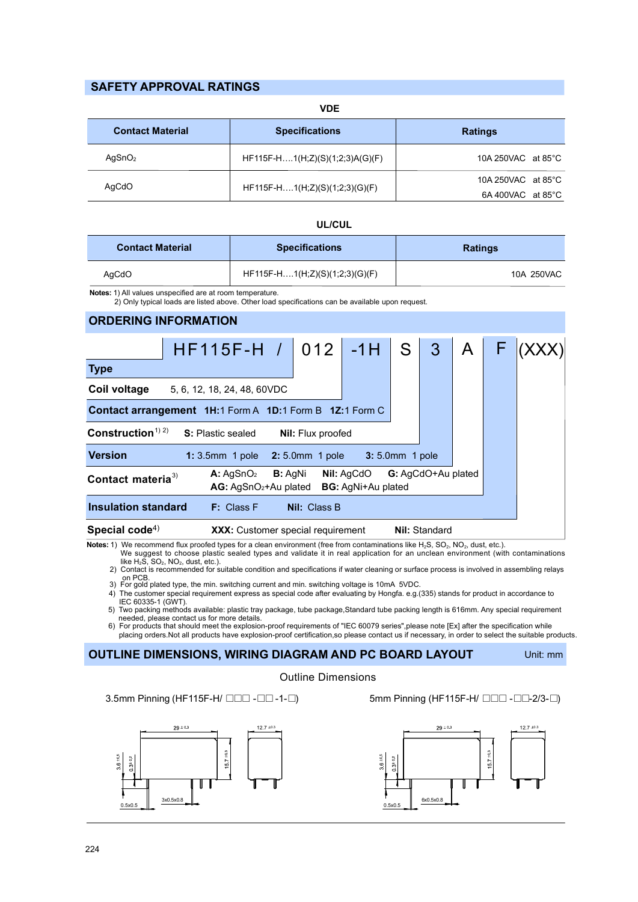# SAFETY APPROVAL RATINGS

 VDE Specifications **Ratings**  HF115F-H….1(H;Z)(S)(1;2;3)A(G)(F) HF115F-H….1(H;Z)(S)(1;2;3)(G)(F) 10A 250VAC at 85°C 6A 400VAC at 85°C AgSnO<sup>2</sup> AgCdO Contact Material 10A 250VAC at 85°C

## UL/CUL

| <b>Contact Material</b> | <b>Specifications</b>          | <b>Ratings</b> |  |  |
|-------------------------|--------------------------------|----------------|--|--|
| AqCdO                   | HF115F-H1(H;Z)(S)(1;2;3)(G)(F) | 10A 250VAC     |  |  |

Notes: 1) All values unspecified are at room temperature.

2) Only typical loads are listed above. Other load specifications can be available upon request.

#### ORDERING INFORMATION

|                                                                                                                                                                            | $HF115F-H$ / 012 -1H S                          |  |              |  |  | 3 | A | F. |  |
|----------------------------------------------------------------------------------------------------------------------------------------------------------------------------|-------------------------------------------------|--|--------------|--|--|---|---|----|--|
| <b>Type</b>                                                                                                                                                                |                                                 |  |              |  |  |   |   |    |  |
| Coil voltage                                                                                                                                                               | 5, 6, 12, 18, 24, 48, 60VDC                     |  |              |  |  |   |   |    |  |
| Contact arrangement 1H:1 Form A 1D:1 Form B 1Z:1 Form C                                                                                                                    |                                                 |  |              |  |  |   |   |    |  |
| Construction <sup><math>1)</math> 2)</sup><br><b>S:</b> Plastic sealed<br><b>Nil:</b> Flux proofed                                                                         |                                                 |  |              |  |  |   |   |    |  |
| <b>Version</b>                                                                                                                                                             | 1: 3.5mm 1 pole 2: 5.0mm 1 pole 3: 5.0mm 1 pole |  |              |  |  |   |   |    |  |
| G: AgCdO+Au plated<br><b>Nil: AgCdO</b><br>A: AgSnO <sub>2</sub><br><b>B:</b> AgNi<br>Contact materia <sup>3)</sup><br><b>BG:</b> AgNi+Au plated<br>$AG: AgSnO2+Au$ plated |                                                 |  |              |  |  |   |   |    |  |
| Insulation standard                                                                                                                                                        | F: Class F                                      |  | Nil: Class B |  |  |   |   |    |  |
| Special code <sup>4)</sup><br><b>Nil: Standard</b><br>XXX: Customer special requirement                                                                                    |                                                 |  |              |  |  |   |   |    |  |

Notes: 1) We recommend flux proofed types for a clean environment (free from contaminations like H<sub>2</sub>S, SO<sub>2</sub>, NO<sub>2</sub>, dust, etc.).<br>We suggest to choose plastic sealed types and validate it in real application for an unclea like  $H_2$  $S$ ,  $SO_2$ ,  $NO_2$ , dust, etc.).

2) Contact is recommended for suitable condition and specifications if water cleaning or surface process is involved in assembling relays on PCB. 3) For gold plated type, the min. switching current and min. switching voltage is 10mA 5VDC.

4) The customer special requirement express as special code after evaluating by Hongfa. e.g.(335) stands for product in accordance to IEC 60335-1 (GWT).

needed, please contact us for more details.<br>6) For products that should meet the explosion-proof requirements of "IEC 60079 series",please note [Ex] after the specification while 5) Two packing methods available: plastic tray package, tube package,Standard tube packing length is 616mm. Any special requirement

placing orders.Not all products have explosion-proof certification,so please contact us if necessary, in order to select the suitable products.

### OUTLINE DIMENSIONS, WIRING DIAGRAM AND PC BOARD LAYOUT

### Outline Dimensions

3.5mm Pinning (HF115F-H/ □□□ -□□-1-□) 5mm Pinning (HF115F-H/ □□□ -□□-2/3-□)





Unit: mm